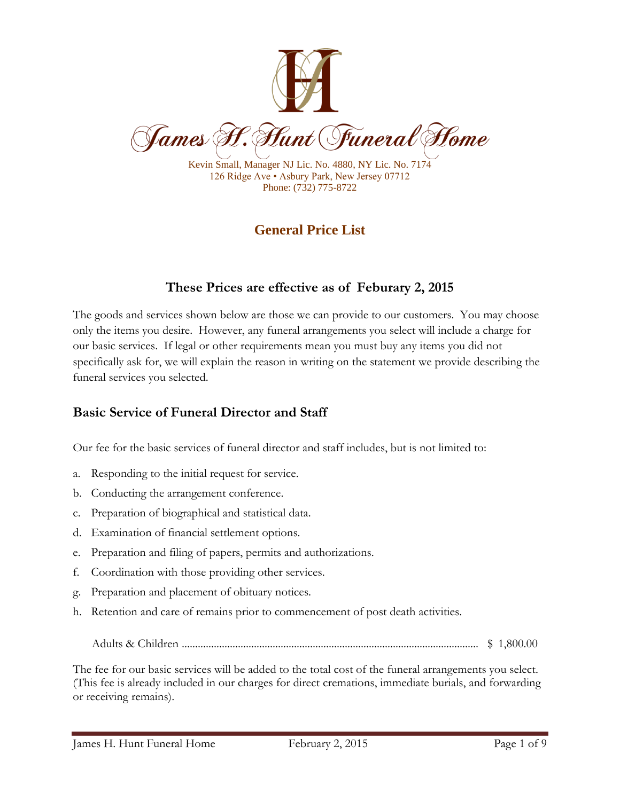

Kevin Small, Manager NJ Lic. No. 4880, NY Lic. No. 7174 126 Ridge Ave • Asbury Park, New Jersey 07712 Phone: (732) 775-8722

# **General Price List**

# **These Prices are effective as of Feburary 2, 2015**

The goods and services shown below are those we can provide to our customers. You may choose only the items you desire. However, any funeral arrangements you select will include a charge for our basic services. If legal or other requirements mean you must buy any items you did not specifically ask for, we will explain the reason in writing on the statement we provide describing the funeral services you selected.

## **Basic Service of Funeral Director and Staff**

Our fee for the basic services of funeral director and staff includes, but is not limited to:

- a. Responding to the initial request for service.
- b. Conducting the arrangement conference.
- c. Preparation of biographical and statistical data.
- d. Examination of financial settlement options.
- e. Preparation and filing of papers, permits and authorizations.
- f. Coordination with those providing other services.
- g. Preparation and placement of obituary notices.
- h. Retention and care of remains prior to commencement of post death activities.
	- Adults & Children ............................................................................................................... \$ 1,800.00

The fee for our basic services will be added to the total cost of the funeral arrangements you select. (This fee is already included in our charges for direct cremations, immediate burials, and forwarding or receiving remains).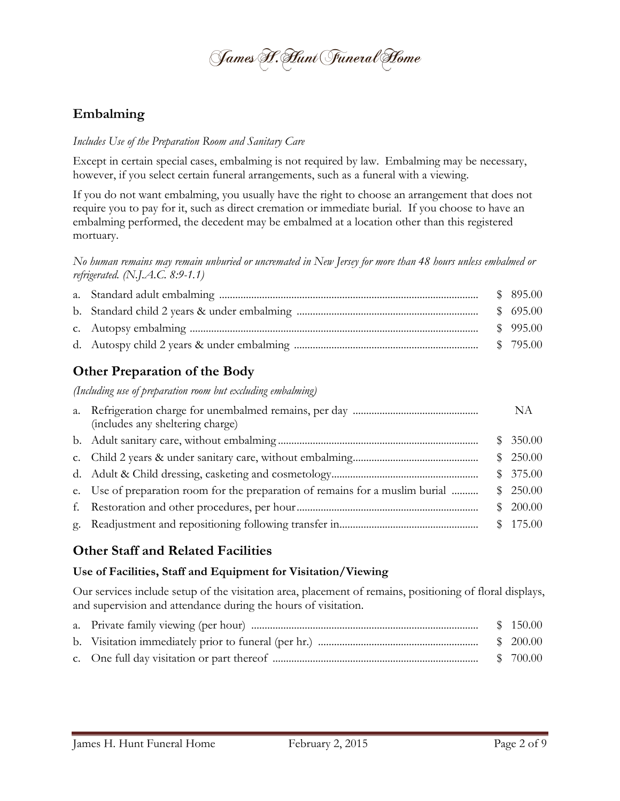James F. Flunt Funeral Home

### **Embalming**

#### *Includes Use of the Preparation Room and Sanitary Care*

Except in certain special cases, embalming is not required by law. Embalming may be necessary, however, if you select certain funeral arrangements, such as a funeral with a viewing.

If you do not want embalming, you usually have the right to choose an arrangement that does not require you to pay for it, such as direct cremation or immediate burial. If you choose to have an embalming performed, the decedent may be embalmed at a location other than this registered mortuary.

*No human remains may remain unburied or uncremated in New Jersey for more than 48 hours unless embalmed or refrigerated. (N.J.A.C. 8:9-1.1)*

## **Other Preparation of the Body**

*(Including use of preparation room but excluding embalming)*

| (includes any sheltering charge)                                              | NA       |
|-------------------------------------------------------------------------------|----------|
|                                                                               | \$350.00 |
|                                                                               | \$250.00 |
|                                                                               | \$375.00 |
| e. Use of preparation room for the preparation of remains for a muslim burial | \$250.00 |
|                                                                               | \$200.00 |
|                                                                               |          |

#### **Other Staff and Related Facilities**

#### **Use of Facilities, Staff and Equipment for Visitation/Viewing**

Our services include setup of the visitation area, placement of remains, positioning of floral displays, and supervision and attendance during the hours of visitation.

|  | \$150.00 |
|--|----------|
|  |          |
|  |          |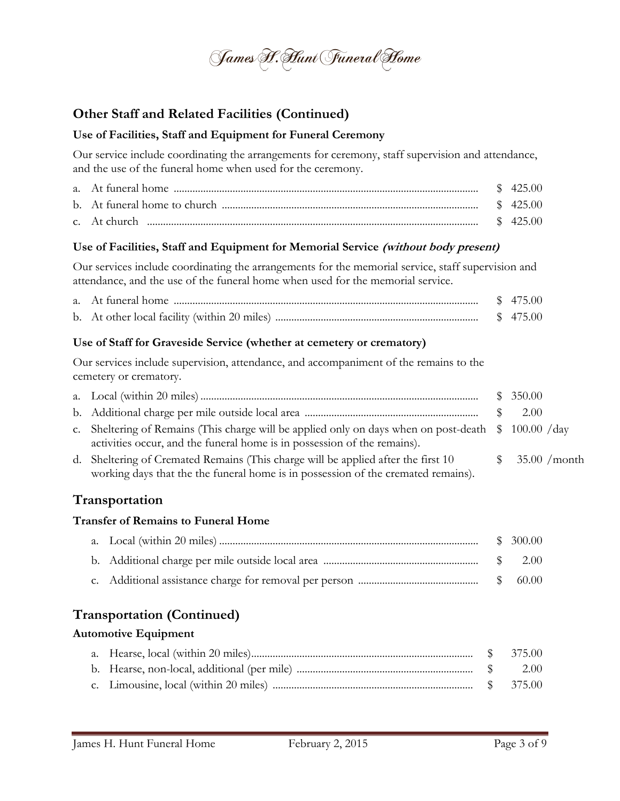

# **Other Staff and Related Facilities (Continued)**

#### **Use of Facilities, Staff and Equipment for Funeral Ceremony**

Our service include coordinating the arrangements for ceremony, staff supervision and attendance, and the use of the funeral home when used for the ceremony.

#### **Use of Facilities, Staff and Equipment for Memorial Service (without body present)**

Our services include coordinating the arrangements for the memorial service, staff supervision and attendance, and the use of the funeral home when used for the memorial service.

| a. At funeral home                           |  |
|----------------------------------------------|--|
| b. At other local facility (within 20 miles) |  |

#### **Use of Staff for Graveside Service (whether at cemetery or crematory)**

Our services include supervision, attendance, and accompaniment of the remains to the cemetery or crematory.

|                                                                                                                                                                                          | \$350.00        |
|------------------------------------------------------------------------------------------------------------------------------------------------------------------------------------------|-----------------|
|                                                                                                                                                                                          | 2.00            |
| c. Sheltering of Remains (This charge will be applied only on days when on post-death $\frac{100.00}{4}$ day<br>activities occur, and the funeral home is in possession of the remains). |                 |
| d. Sheltering of Cremated Remains (This charge will be applied after the first 10<br>working days that the the funeral home is in possession of the cremated remains).                   | \$35.00 / month |

## **Transportation**

#### **Transfer of Remains to Funeral Home**

# **Transportation (Continued)**

#### **Automotive Equipment**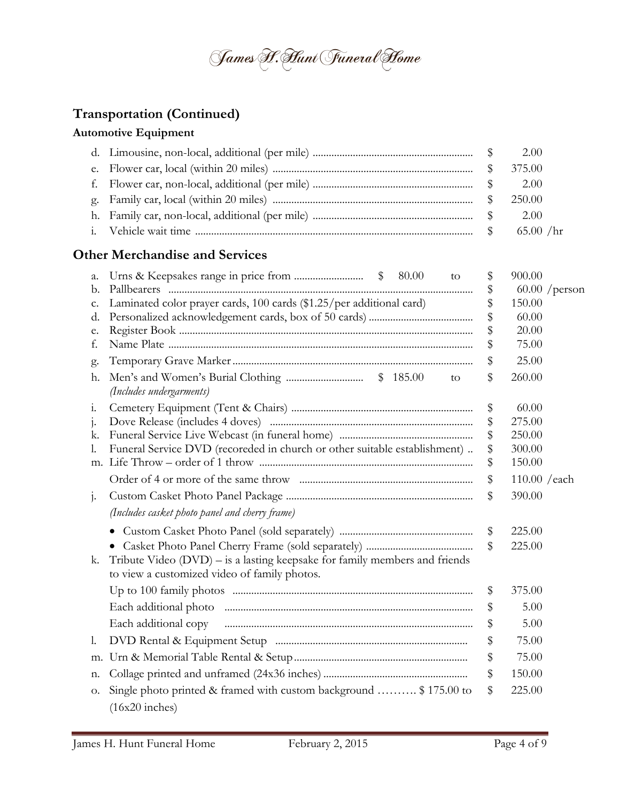

# **Transportation (Continued)**

#### **Automotive Equipment**

|  | 2.00 |
|--|------|
|  |      |

### **Other Merchandise and Services**

| a.             | 80.00<br>to                                                                                                                  | \$                | 900.00          |
|----------------|------------------------------------------------------------------------------------------------------------------------------|-------------------|-----------------|
| b.             |                                                                                                                              | \$                | $60.00$ /person |
| c.             | Laminated color prayer cards, 100 cards (\$1.25/per additional card)                                                         | \$                | 150.00          |
| d.             |                                                                                                                              | \$                | 60.00           |
| e.             |                                                                                                                              | \$                | 20.00           |
| f.             |                                                                                                                              | \$                | 75.00           |
| g.             |                                                                                                                              | \$                | 25.00           |
| h.             | to<br>(Includes undergarments)                                                                                               | \$                | 260.00          |
| 1.             |                                                                                                                              | \$                | 60.00           |
| $\mathbf{j}$ . |                                                                                                                              | $\boldsymbol{\$}$ | 275.00          |
| k.             |                                                                                                                              | \$                | 250.00          |
| 1.             | Funeral Service DVD (recoreded in church or other suitable establishment)                                                    | \$                | 300.00          |
|                |                                                                                                                              | \$                | 150.00          |
|                |                                                                                                                              | $\$\,$            | $110.00$ /each  |
| $1 -$          |                                                                                                                              | \$                | 390.00          |
|                | (Includes casket photo panel and cherry frame)                                                                               |                   |                 |
|                | $\bullet$                                                                                                                    | \$                | 225.00          |
|                |                                                                                                                              | $\$\$             | 225.00          |
| k.             | Tribute Video $(DVD)$ – is a lasting keepsake for family members and friends<br>to view a customized video of family photos. |                   |                 |
|                |                                                                                                                              | \$                | 375.00          |
|                |                                                                                                                              | \$                | 5.00            |
|                | Each additional copy                                                                                                         | \$                | 5.00            |
| 1.             |                                                                                                                              | \$                | 75.00           |
| m.             |                                                                                                                              | \$                | 75.00           |
| n.             |                                                                                                                              | \$                | 150.00          |
| О.             | Single photo printed & framed with custom background  \$175.00 to                                                            | \$                | 225.00          |
|                | $(16x20$ inches)                                                                                                             |                   |                 |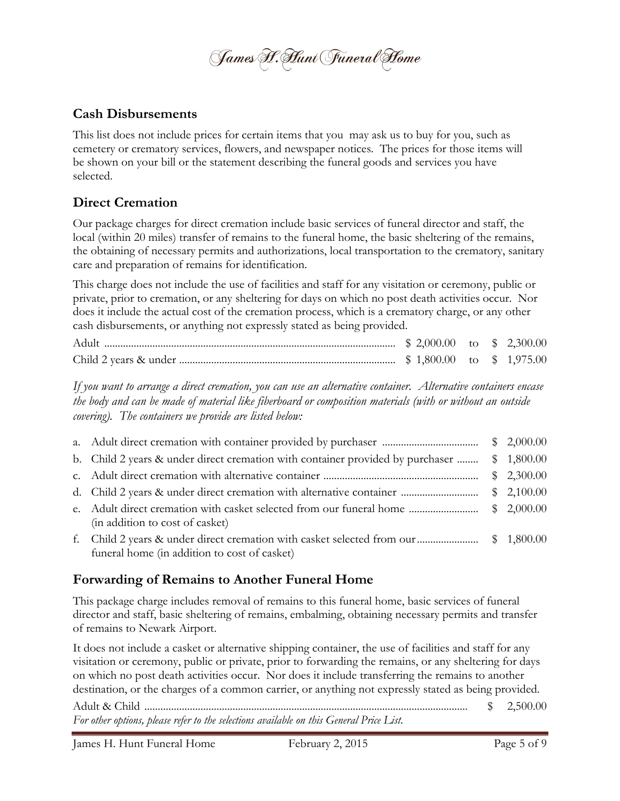James F. Flunt Funeral Home

#### **Cash Disbursements**

This list does not include prices for certain items that you may ask us to buy for you, such as cemetery or crematory services, flowers, and newspaper notices. The prices for those items will be shown on your bill or the statement describing the funeral goods and services you have selected.

## **Direct Cremation**

Our package charges for direct cremation include basic services of funeral director and staff, the local (within 20 miles) transfer of remains to the funeral home, the basic sheltering of the remains, the obtaining of necessary permits and authorizations, local transportation to the crematory, sanitary care and preparation of remains for identification.

This charge does not include the use of facilities and staff for any visitation or ceremony, public or private, prior to cremation, or any sheltering for days on which no post death activities occur. Nor does it include the actual cost of the cremation process, which is a crematory charge, or any other cash disbursements, or anything not expressly stated as being provided.

*If you want to arrange a direct cremation, you can use an alternative container. Alternative containers encase the body and can be made of material like fiberboard or composition materials (with or without an outside covering). The containers we provide are listed below:*

|    |                                                                                                         | $\frac{$}{2,000.00}$ |
|----|---------------------------------------------------------------------------------------------------------|----------------------|
|    | b. Child 2 years & under direct cremation with container provided by purchaser                          | \$1,800.00           |
|    |                                                                                                         | \$2,300.00           |
|    |                                                                                                         | \$2,100.00           |
|    | e. Adult direct cremation with casket selected from our funeral home<br>(in addition to cost of casket) | \$2,000.00           |
| t. | funeral home (in addition to cost of casket)                                                            |                      |

## **Forwarding of Remains to Another Funeral Home**

This package charge includes removal of remains to this funeral home, basic services of funeral director and staff, basic sheltering of remains, embalming, obtaining necessary permits and transfer of remains to Newark Airport.

It does not include a casket or alternative shipping container, the use of facilities and staff for any visitation or ceremony, public or private, prior to forwarding the remains, or any sheltering for days on which no post death activities occur. Nor does it include transferring the remains to another destination, or the charges of a common carrier, or anything not expressly stated as being provided.

Adult & Child ......................................................................................................................... \$ 2,500.00 *For other options, please refer to the selections available on this General Price List.*

James H. Hunt Funeral Home February 2, 2015 Page 5 of 9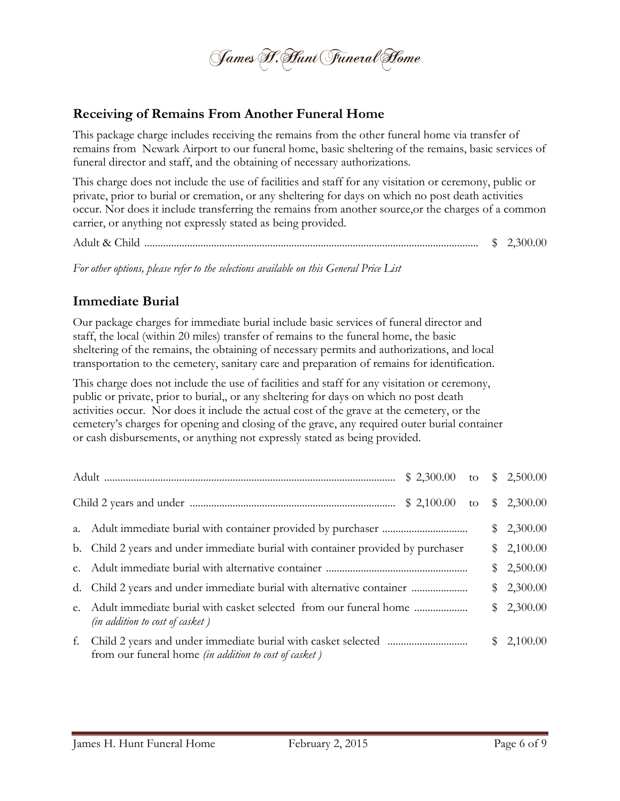

#### **Receiving of Remains From Another Funeral Home**

This package charge includes receiving the remains from the other funeral home via transfer of remains from Newark Airport to our funeral home, basic sheltering of the remains, basic services of funeral director and staff, and the obtaining of necessary authorizations.

This charge does not include the use of facilities and staff for any visitation or ceremony, public or private, prior to burial or cremation, or any sheltering for days on which no post death activities occur. Nor does it include transferring the remains from another source,or the charges of a common carrier, or anything not expressly stated as being provided.

Adult & Child ............................................................................................................................. \$ 2,300.00

*For other options, please refer to the selections available on this General Price List*

### **Immediate Burial**

Our package charges for immediate burial include basic services of funeral director and staff, the local (within 20 miles) transfer of remains to the funeral home, the basic sheltering of the remains, the obtaining of necessary permits and authorizations, and local transportation to the cemetery, sanitary care and preparation of remains for identification.

This charge does not include the use of facilities and staff for any visitation or ceremony, public or private, prior to burial,, or any sheltering for days on which no post death activities occur. Nor does it include the actual cost of the grave at the cemetery, or the cemetery's charges for opening and closing of the grave, any required outer burial container or cash disbursements, or anything not expressly stated as being provided.

|                                                                                                                                  |  | \$2,300.00 |  |
|----------------------------------------------------------------------------------------------------------------------------------|--|------------|--|
| b. Child 2 years and under immediate burial with container provided by purchaser                                                 |  | \$2,100.00 |  |
|                                                                                                                                  |  | \$2,500.00 |  |
|                                                                                                                                  |  | \$2,300.00 |  |
| e. Adult immediate burial with casket selected from our funeral home<br>(in addition to cost of casket)                          |  | \$2,300.00 |  |
| f. Child 2 years and under immediate burial with casket selected<br>from our funeral home <i>(in addition to cost of casket)</i> |  | \$2,100.00 |  |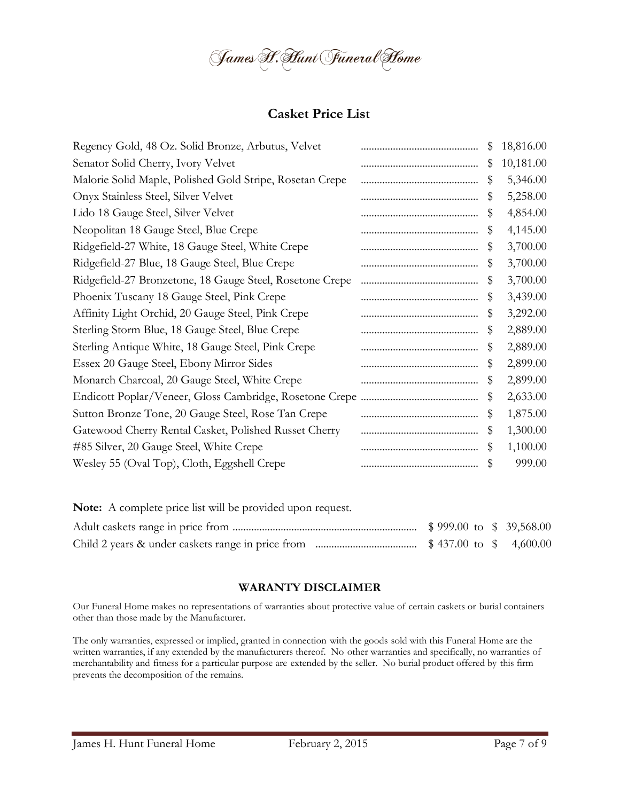

### **Casket Price List**

| Regency Gold, 48 Oz. Solid Bronze, Arbutus, Velvet       | \$ | 18,816.00 |
|----------------------------------------------------------|----|-----------|
| Senator Solid Cherry, Ivory Velvet                       | \$ | 10,181.00 |
| Malorie Solid Maple, Polished Gold Stripe, Rosetan Crepe | \$ | 5,346.00  |
| Onyx Stainless Steel, Silver Velvet                      | \$ | 5,258.00  |
| Lido 18 Gauge Steel, Silver Velvet                       | \$ | 4,854.00  |
| Neopolitan 18 Gauge Steel, Blue Crepe                    | \$ | 4,145.00  |
| Ridgefield-27 White, 18 Gauge Steel, White Crepe         | \$ | 3,700.00  |
| Ridgefield-27 Blue, 18 Gauge Steel, Blue Crepe           | \$ | 3,700.00  |
| Ridgefield-27 Bronzetone, 18 Gauge Steel, Rosetone Crepe | \$ | 3,700.00  |
| Phoenix Tuscany 18 Gauge Steel, Pink Crepe               | \$ | 3,439.00  |
| Affinity Light Orchid, 20 Gauge Steel, Pink Crepe        | \$ | 3,292.00  |
| Sterling Storm Blue, 18 Gauge Steel, Blue Crepe          | \$ | 2,889.00  |
| Sterling Antique White, 18 Gauge Steel, Pink Crepe       | \$ | 2,889.00  |
| Essex 20 Gauge Steel, Ebony Mirror Sides                 | \$ | 2,899.00  |
| Monarch Charcoal, 20 Gauge Steel, White Crepe            | \$ | 2,899.00  |
|                                                          | \$ | 2,633.00  |
| Sutton Bronze Tone, 20 Gauge Steel, Rose Tan Crepe       | \$ | 1,875.00  |
| Gatewood Cherry Rental Casket, Polished Russet Cherry    | \$ | 1,300.00  |
| #85 Silver, 20 Gauge Steel, White Crepe                  | \$ | 1,100.00  |
| Wesley 55 (Oval Top), Cloth, Eggshell Crepe              | \$ | 999.00    |
|                                                          |    |           |

| <b>Note:</b> A complete price list will be provided upon request. |  |  |  |
|-------------------------------------------------------------------|--|--|--|
|                                                                   |  |  |  |
|                                                                   |  |  |  |

#### **WARANTY DISCLAIMER**

Our Funeral Home makes no representations of warranties about protective value of certain caskets or burial containers other than those made by the Manufacturer.

The only warranties, expressed or implied, granted in connection with the goods sold with this Funeral Home are the written warranties, if any extended by the manufacturers thereof. No other warranties and specifically, no warranties of merchantability and fitness for a particular purpose are extended by the seller. No burial product offered by this firm prevents the decomposition of the remains.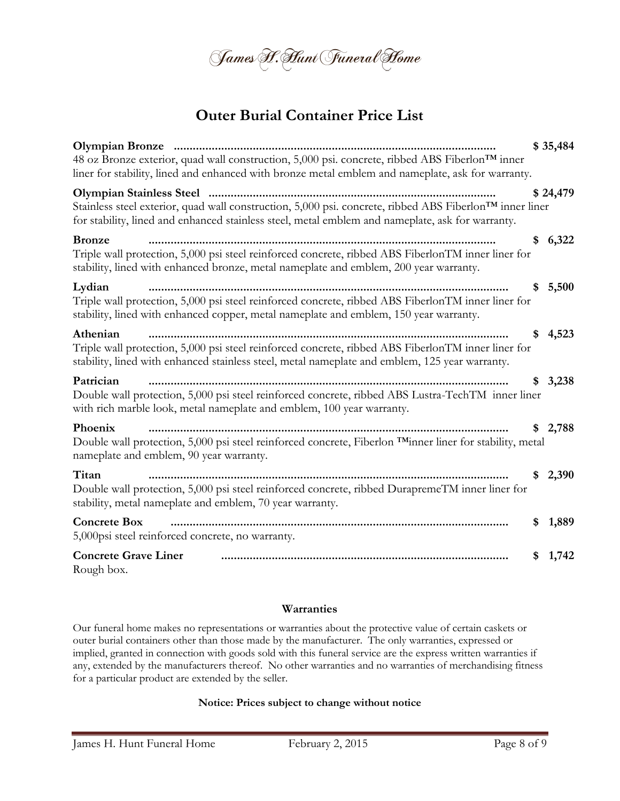

# **Outer Burial Container Price List**

| 48 oz Bronze exterior, quad wall construction, 5,000 psi. concrete, ribbed ABS Fiberlon™ inner<br>liner for stability, lined and enhanced with bronze metal emblem and nameplate, ask for warranty.                      |    | \$35,484 |
|--------------------------------------------------------------------------------------------------------------------------------------------------------------------------------------------------------------------------|----|----------|
| Stainless steel exterior, quad wall construction, 5,000 psi. concrete, ribbed ABS Fiberlon <sup>TM</sup> inner liner<br>for stability, lined and enhanced stainless steel, metal emblem and nameplate, ask for warranty. |    | \$24,479 |
| <b>Bronze</b><br>Triple wall protection, 5,000 psi steel reinforced concrete, ribbed ABS FiberlonTM inner liner for<br>stability, lined with enhanced bronze, metal nameplate and emblem, 200 year warranty.             | \$ | 6,322    |
| Lydian<br>Triple wall protection, 5,000 psi steel reinforced concrete, ribbed ABS FiberlonTM inner liner for<br>stability, lined with enhanced copper, metal nameplate and emblem, 150 year warranty.                    | S  | 5,500    |
| Athenian<br>Triple wall protection, 5,000 psi steel reinforced concrete, ribbed ABS FiberlonTM inner liner for<br>stability, lined with enhanced stainless steel, metal nameplate and emblem, 125 year warranty.         | \$ | 4,523    |
| Patrician<br>Double wall protection, 5,000 psi steel reinforced concrete, ribbed ABS Lustra-TechTM inner liner<br>with rich marble look, metal nameplate and emblem, 100 year warranty.                                  | S  | 3,238    |
| Phoenix<br>Double wall protection, 5,000 psi steel reinforced concrete, Fiberlon TMinner liner for stability, metal<br>nameplate and emblem, 90 year warranty.                                                           | S  | 2,788    |
| Titan<br>Double wall protection, 5,000 psi steel reinforced concrete, ribbed DurapremeTM inner liner for<br>stability, metal nameplate and emblem, 70 year warranty.                                                     | \$ | 2,390    |
| <b>Concrete Box</b><br>5,000psi steel reinforced concrete, no warranty.                                                                                                                                                  | \$ | 1,889    |
| <b>Concrete Grave Liner</b><br>Rough box.                                                                                                                                                                                | S  | 1,742    |

#### **Warranties**

Our funeral home makes no representations or warranties about the protective value of certain caskets or outer burial containers other than those made by the manufacturer. The only warranties, expressed or implied, granted in connection with goods sold with this funeral service are the express written warranties if any, extended by the manufacturers thereof. No other warranties and no warranties of merchandising fitness for a particular product are extended by the seller.

#### **Notice: Prices subject to change without notice**